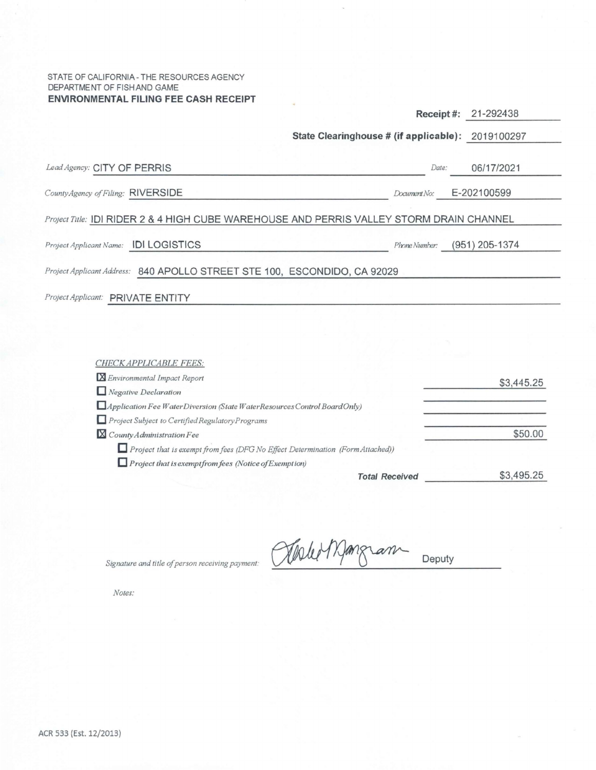### STATE OF CALIFORNIA - THE RESOURCES AGENCY DEPARTMENT OF FISH AND GAME **ENVIRONMENTAL FILING FEE CASH RECEIPT**

|                                       |                                                                                          | Receipt#:     | 21-292438        |
|---------------------------------------|------------------------------------------------------------------------------------------|---------------|------------------|
|                                       | State Clearinghouse # (if applicable): 2019100297                                        |               |                  |
| Lead Agency: CITY OF PERRIS           |                                                                                          | Date:         | 06/17/2021       |
| County Agency of Filing: RIVERSIDE    |                                                                                          | Document No:  | E-202100599      |
|                                       | Project Title: IDI RIDER 2 & 4 HIGH CUBE WAREHOUSE AND PERRIS VALLEY STORM DRAIN CHANNEL |               |                  |
| Project Applicant Name: IDI LOGISTICS |                                                                                          | Phone Number: | $(951)$ 205-1374 |
|                                       | Project Applicant Address: 840 APOLLO STREET STE 100, ESCONDIDO, CA 92029                |               |                  |
| Project Applicant: PRIVATE ENTITY     |                                                                                          |               |                  |
|                                       |                                                                                          |               |                  |

| CHECK APPLICABLE FEES:                                                                |            |
|---------------------------------------------------------------------------------------|------------|
| <b>X</b> Environmental Impact Report                                                  | \$3,445.25 |
| $\Box$ Negative Declaration                                                           |            |
| Application Fee WaterDiversion (State WaterResources Control BoardOnly)               |            |
| Project Subject to Certified Regulatory Programs                                      |            |
| $X$ County Administration Fee                                                         | \$50.00    |
| $\Box$ Project that is exempt from fees (DFG No Effect Determination (Form Attached)) |            |
| $\Box$ Project that is exempt from fees (Notice of Exemption)                         |            |
| <b>Total Received</b>                                                                 | \$3,495.25 |

Olele Mangram Deputy

*Signature and title of person receiving payment:* 

*Notes:*